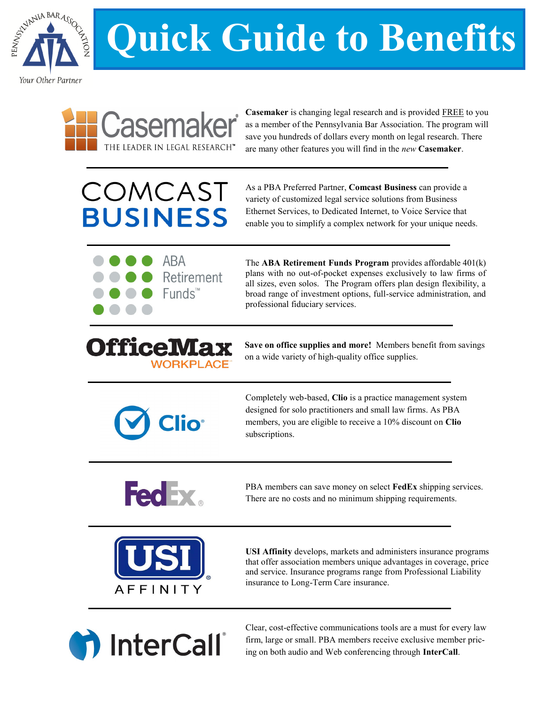

## **Quick Guide to Benefits**



**[Casemaker](http://www.pabar.org/)** is changing legal research and is provided FREE to you as a member of the Pennsylvania Bar Association. The program will save you hundreds of dollars every month on legal research. There are many other features you will find in the *new* **Casemaker**.

## COMCAST **BUSINESS**

As a PBA Preferred Partner, **Comcast Business** can provide a variety of customized legal service solutions from Business Ethernet Services, to Dedicated Internet, to Voice Service that enable you to simplify a complex network for your unique needs.



The **ABA Retirement Funds Program** provides affordable 401(k) plans with no out-of-pocket expenses exclusively to law firms of all sizes, even solos. The Program offers plan design flexibility, a broad range of investment options, full-service administration, and professional fiduciary services.

## iiice Ma **WORKPLAC**

**Save on office supplies and more!** Members benefit from savings on a wide variety of high-quality office supplies.



Completely web-based, **Clio** is a practice management system designed for solo practitioners and small law firms. As PBA members, you are eligible to receive a 10% discount on **Clio** subscriptions.



PBA members can save money on select **FedEx** shipping services. There are no costs and no minimum shipping requirements.



**USI Affinity** develops, markets and administers insurance programs that offer association members unique advantages in coverage, price and service. Insurance programs range from Professional Liability insurance to Long-Term Care insurance.



Clear, cost-effective communications tools are a must for every law firm, large or small. PBA members receive exclusive member pricing on both audio and Web conferencing through **[InterCall](https://www.1800members.com/paba)**.